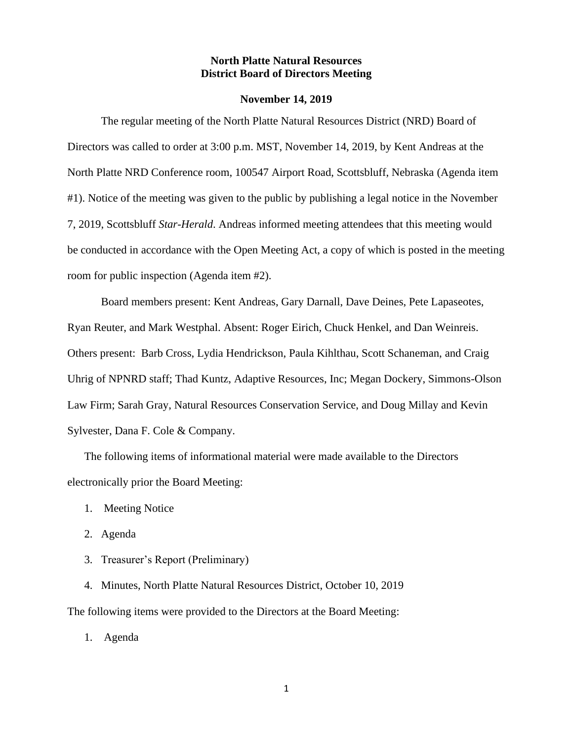#### **North Platte Natural Resources District Board of Directors Meeting**

#### **November 14, 2019**

The regular meeting of the North Platte Natural Resources District (NRD) Board of Directors was called to order at 3:00 p.m. MST, November 14, 2019, by Kent Andreas at the North Platte NRD Conference room, 100547 Airport Road, Scottsbluff, Nebraska (Agenda item #1). Notice of the meeting was given to the public by publishing a legal notice in the November 7, 2019, Scottsbluff *Star-Herald*. Andreas informed meeting attendees that this meeting would be conducted in accordance with the Open Meeting Act, a copy of which is posted in the meeting room for public inspection (Agenda item #2).

Board members present: Kent Andreas, Gary Darnall, Dave Deines, Pete Lapaseotes, Ryan Reuter, and Mark Westphal. Absent: Roger Eirich, Chuck Henkel, and Dan Weinreis. Others present: Barb Cross, Lydia Hendrickson, Paula Kihlthau, Scott Schaneman, and Craig Uhrig of NPNRD staff; Thad Kuntz, Adaptive Resources, Inc; Megan Dockery, Simmons-Olson Law Firm; Sarah Gray, Natural Resources Conservation Service, and Doug Millay and Kevin Sylvester, Dana F. Cole & Company.

The following items of informational material were made available to the Directors electronically prior the Board Meeting:

- 1. Meeting Notice
- 2. Agenda
- 3. Treasurer's Report (Preliminary)

4. Minutes, North Platte Natural Resources District, October 10, 2019 The following items were provided to the Directors at the Board Meeting:

1. Agenda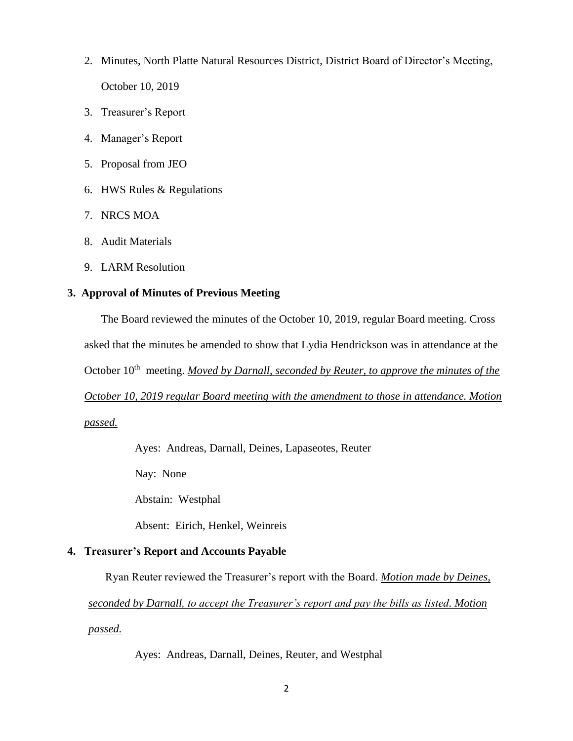- 2. Minutes, North Platte Natural Resources District, District Board of Director's Meeting, October 10, 2019
- 3. Treasurer's Report
- 4. Manager's Report
- 5. Proposal from JEO
- 6. HWS Rules & Regulations
- 7. NRCS MOA
- 8. Audit Materials
- 9. LARM Resolution

# **3. Approval of Minutes of Previous Meeting**

The Board reviewed the minutes of the October 10, 2019, regular Board meeting. Cross asked that the minutes be amended to show that Lydia Hendrickson was in attendance at the October 10<sup>th</sup> meeting. *Moved by Darnall, seconded by Reuter, to approve the minutes of the October 10, 2019 regular Board meeting with the amendment to those in attendance. Motion passed.*

Ayes: Andreas, Darnall, Deines, Lapaseotes, Reuter

Nay: None

Abstain: Westphal

Absent: Eirich, Henkel, Weinreis

# **4. Treasurer's Report and Accounts Payable**

Ryan Reuter reviewed the Treasurer's report with the Board. *Motion made by Deines,* 

*seconded by Darnall, to accept the Treasurer's report and pay the bills as listed. Motion* 

*passed.*

Ayes: Andreas, Darnall, Deines, Reuter, and Westphal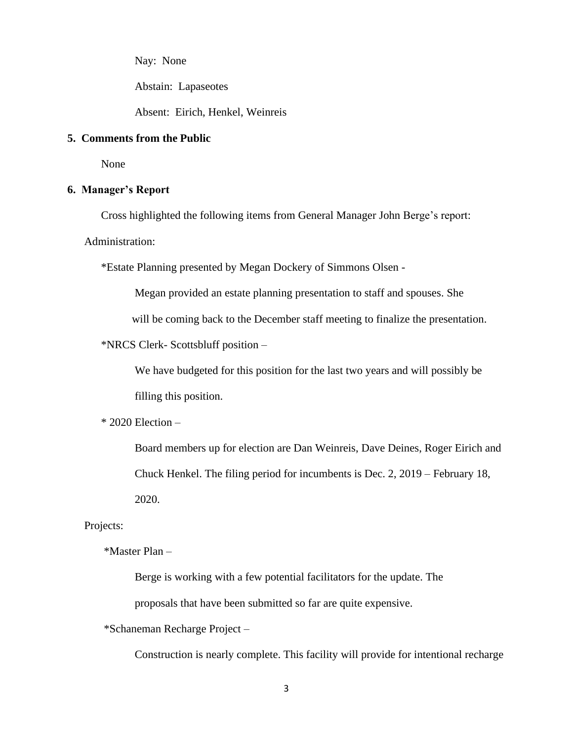Nay: None

Abstain: Lapaseotes

Absent: Eirich, Henkel, Weinreis

#### **5. Comments from the Public**

None

#### **6. Manager's Report**

Cross highlighted the following items from General Manager John Berge's report:

Administration:

\*Estate Planning presented by Megan Dockery of Simmons Olsen -

Megan provided an estate planning presentation to staff and spouses. She

will be coming back to the December staff meeting to finalize the presentation.

\*NRCS Clerk- Scottsbluff position –

We have budgeted for this position for the last two years and will possibly be filling this position.

\* 2020 Election –

Board members up for election are Dan Weinreis, Dave Deines, Roger Eirich and Chuck Henkel. The filing period for incumbents is Dec. 2, 2019 – February 18, 2020.

Projects:

\*Master Plan –

Berge is working with a few potential facilitators for the update. The

proposals that have been submitted so far are quite expensive.

\*Schaneman Recharge Project –

Construction is nearly complete. This facility will provide for intentional recharge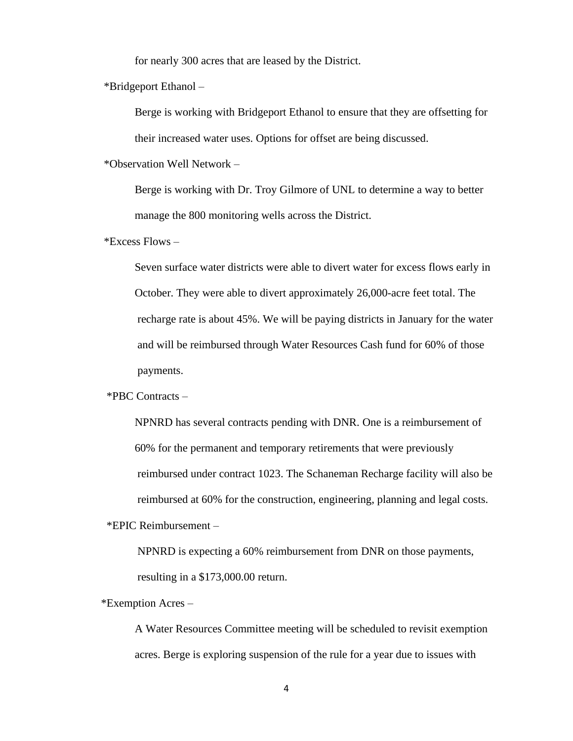for nearly 300 acres that are leased by the District.

\*Bridgeport Ethanol –

Berge is working with Bridgeport Ethanol to ensure that they are offsetting for their increased water uses. Options for offset are being discussed.

\*Observation Well Network –

Berge is working with Dr. Troy Gilmore of UNL to determine a way to better manage the 800 monitoring wells across the District.

\*Excess Flows –

Seven surface water districts were able to divert water for excess flows early in October. They were able to divert approximately 26,000-acre feet total. The recharge rate is about 45%. We will be paying districts in January for the water and will be reimbursed through Water Resources Cash fund for 60% of those payments.

#### \*PBC Contracts –

NPNRD has several contracts pending with DNR. One is a reimbursement of 60% for the permanent and temporary retirements that were previously reimbursed under contract 1023. The Schaneman Recharge facility will also be reimbursed at 60% for the construction, engineering, planning and legal costs.

\*EPIC Reimbursement –

NPNRD is expecting a 60% reimbursement from DNR on those payments, resulting in a \$173,000.00 return.

\*Exemption Acres –

A Water Resources Committee meeting will be scheduled to revisit exemption acres. Berge is exploring suspension of the rule for a year due to issues with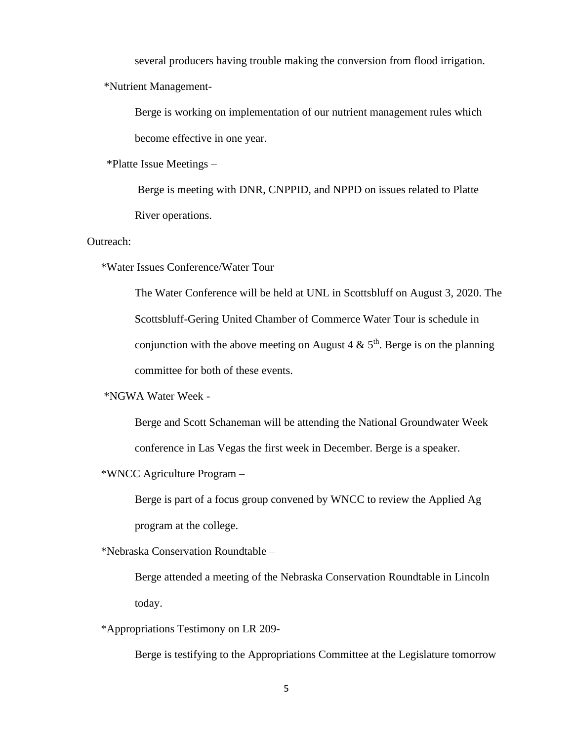several producers having trouble making the conversion from flood irrigation.

\*Nutrient Management-

Berge is working on implementation of our nutrient management rules which become effective in one year.

\*Platte Issue Meetings –

Berge is meeting with DNR, CNPPID, and NPPD on issues related to Platte River operations.

Outreach:

\*Water Issues Conference/Water Tour –

The Water Conference will be held at UNL in Scottsbluff on August 3, 2020. The Scottsbluff-Gering United Chamber of Commerce Water Tour is schedule in conjunction with the above meeting on August 4  $\&$  5<sup>th</sup>. Berge is on the planning committee for both of these events.

\*NGWA Water Week -

Berge and Scott Schaneman will be attending the National Groundwater Week conference in Las Vegas the first week in December. Berge is a speaker.

\*WNCC Agriculture Program –

Berge is part of a focus group convened by WNCC to review the Applied Ag program at the college.

\*Nebraska Conservation Roundtable –

Berge attended a meeting of the Nebraska Conservation Roundtable in Lincoln today.

\*Appropriations Testimony on LR 209-

Berge is testifying to the Appropriations Committee at the Legislature tomorrow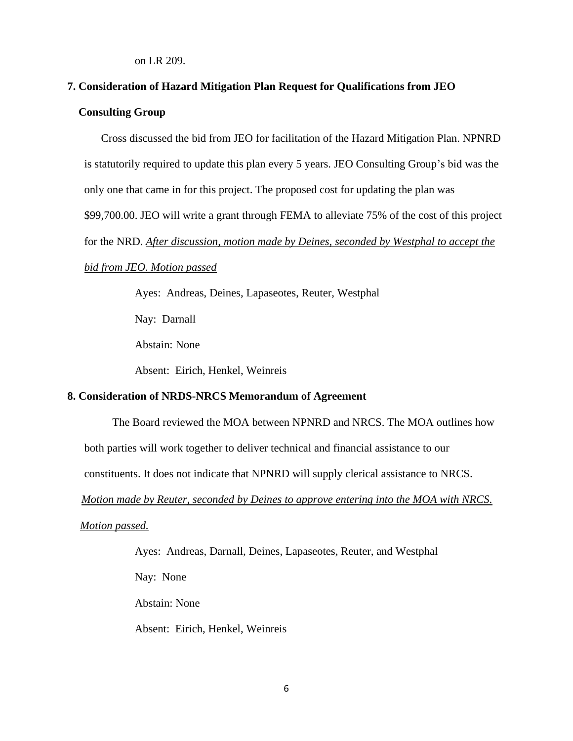on LR 209.

# **7. Consideration of Hazard Mitigation Plan Request for Qualifications from JEO Consulting Group**

Cross discussed the bid from JEO for facilitation of the Hazard Mitigation Plan. NPNRD is statutorily required to update this plan every 5 years. JEO Consulting Group's bid was the only one that came in for this project. The proposed cost for updating the plan was \$99,700.00. JEO will write a grant through FEMA to alleviate 75% of the cost of this project for the NRD. *After discussion, motion made by Deines, seconded by Westphal to accept the* 

#### *bid from JEO. Motion passed*

Ayes: Andreas, Deines, Lapaseotes, Reuter, Westphal

Nay: Darnall

Abstain: None

Absent: Eirich, Henkel, Weinreis

### **8. Consideration of NRDS-NRCS Memorandum of Agreement**

The Board reviewed the MOA between NPNRD and NRCS. The MOA outlines how

both parties will work together to deliver technical and financial assistance to our

constituents. It does not indicate that NPNRD will supply clerical assistance to NRCS.

 *Motion made by Reuter, seconded by Deines to approve entering into the MOA with NRCS.* 

*Motion passed.*

Ayes: Andreas, Darnall, Deines, Lapaseotes, Reuter, and Westphal

Nay: None

Abstain: None

Absent: Eirich, Henkel, Weinreis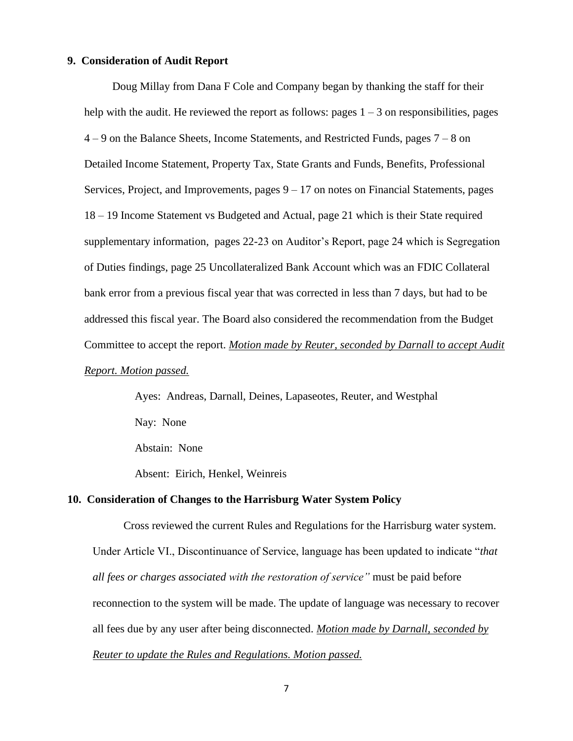#### **9. Consideration of Audit Report**

 Doug Millay from Dana F Cole and Company began by thanking the staff for their help with the audit. He reviewed the report as follows: pages  $1 - 3$  on responsibilities, pages 4 – 9 on the Balance Sheets, Income Statements, and Restricted Funds, pages 7 – 8 on Detailed Income Statement, Property Tax, State Grants and Funds, Benefits, Professional Services, Project, and Improvements, pages  $9 - 17$  on notes on Financial Statements, pages 18 – 19 Income Statement vs Budgeted and Actual, page 21 which is their State required supplementary information, pages 22-23 on Auditor's Report, page 24 which is Segregation of Duties findings, page 25 Uncollateralized Bank Account which was an FDIC Collateral bank error from a previous fiscal year that was corrected in less than 7 days, but had to be addressed this fiscal year. The Board also considered the recommendation from the Budget Committee to accept the report. *Motion made by Reuter, seconded by Darnall to accept Audit Report. Motion passed.*

> Ayes: Andreas, Darnall, Deines, Lapaseotes, Reuter, and Westphal Nay: None

Abstain: None

Absent: Eirich, Henkel, Weinreis

#### **10. Consideration of Changes to the Harrisburg Water System Policy**

 Cross reviewed the current Rules and Regulations for the Harrisburg water system. Under Article VI., Discontinuance of Service, language has been updated to indicate "*that all fees or charges associated with the restoration of service"* must be paid before reconnection to the system will be made. The update of language was necessary to recover all fees due by any user after being disconnected. *Motion made by Darnall, seconded by Reuter to update the Rules and Regulations. Motion passed.*